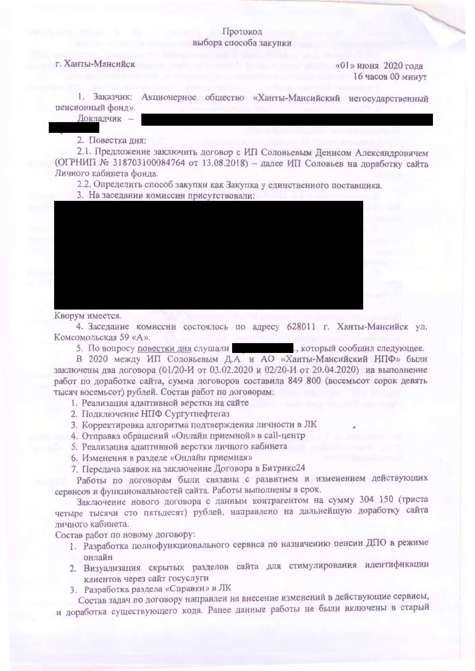## Протокол выбора способа закупки

## г. Ханты-Мансийск

 $\frac{1}{2020}$  года 16 часов 00 минут

1. Заказчик: Акционерное общество «Ханты-Мансийский негосударственный пенсионный фонд».

Докладчик -

2. Повестка дня:

2.1. Предложение заключить договор с ИП Соловьевым Денисом Александровичем (ОГРНИП № 318703100084764 от 13.08.2018) - далее ИП Соловьев на доработку сайта Личного кабинета фонда.

2.2. Определить способ закупки как Закупка у единственного поставщика.

3. На заседании комиссии присутствовали:



Кворум имеется.

4. Заседание комиссии состоялось по адресу 628011 г. Ханты-Мансийск ул. Комсомольская 59 «А».

5. По вопросу повестки дня слушали | который сообщил следующее.

В 2020 между ИП Соловьевым Д.А. и АО «Ханты-Мансийский НПФ» были заключены два договора (01/20-И от 03.02.2020 и 02/20-И от 20.04.2020) на выполнение работ по доработке сайта, сумма договоров составила 849 800 (восемьсот сорок девять тысяч восемьсот) рублей. Состав работ по договорам:

- 1. Реализация адаптивной верстки на сайте
- 2. Подключение НПФ Сургутнефтегаз
- 3. Корректировка алгоритма подтверждения личности в ЛК
- 4. Отправка обращений «Онлайн приемной» в call-центр
- 5. Реализация адаптивной верстки личного кабинета
- 6. Изменения в разделе «Онлайн приемная»
- 7. Передача заявок на заключение Договора в Битрикс24

Работы по договорам были связаны с развитием и изменением действующих сервисов и функциональностей сайта. Работы выполнены в срок.

Заключение нового договора с данным контрагентом на сумму 304 150 (триста четыре тысячи сто пятьдесят) рублей, направлено на дальнейшую доработку сайта личного кабинета.

Состав работ по новому договору:

- 1. Разработка полнофункционального сервиса по назначению пенсии ДПО в режиме онлайн
- 2. Визуализация скрытых разделов сайта для стимулирования идентификации клиентов через сайт госуслуги
- 3. Разработка раздела «Справки» в ЛК

Состав задач по договору направлен на внесение изменений в действующие сервисы, и доработка существующего кода. Ранее данные работы не были включены в старый